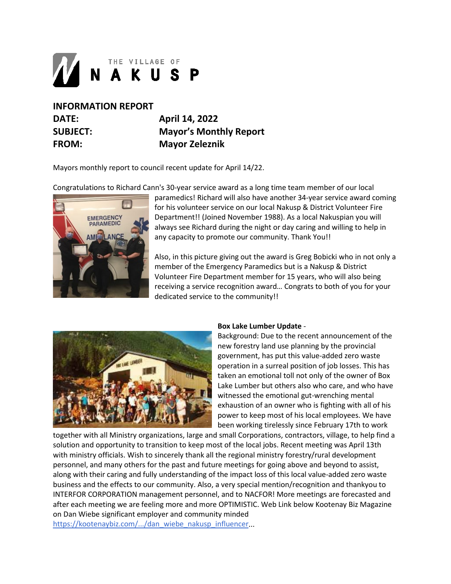

## **INFORMATION REPORT DATE: April 14, 2022 SUBJECT: Mayor's Monthly Report FROM: Mayor Zeleznik**

Mayors monthly report to council recent update for April 14/22.

Congratulations to Richard Cann's 30-year service award as a long time team member of our local



paramedics! Richard will also have another 34-year service award coming for his volunteer service on our local Nakusp & District Volunteer Fire Department!! (Joined November 1988). As a local Nakuspian you will always see Richard during the night or day caring and willing to help in any capacity to promote our community. Thank You!!

Also, in this picture giving out the award is Greg Bobicki who in not only a member of the Emergency Paramedics but is a Nakusp & District Volunteer Fire Department member for 15 years, who will also being receiving a service recognition award… Congrats to both of you for your dedicated service to the community!!



## **Box Lake Lumber Update** -

Background: Due to the recent announcement of the new forestry land use planning by the provincial government, has put this value-added zero waste operation in a surreal position of job losses. This has taken an emotional toll not only of the owner of Box Lake Lumber but others also who care, and who have witnessed the emotional gut-wrenching mental exhaustion of an owner who is fighting with all of his power to keep most of his local employees. We have been working tirelessly since February 17th to work

together with all Ministry organizations, large and small Corporations, contractors, village, to help find a solution and opportunity to transition to keep most of the local jobs. Recent meeting was April 13th with ministry officials. Wish to sincerely thank all the regional ministry forestry/rural development personnel, and many others for the past and future meetings for going above and beyond to assist, along with their caring and fully understanding of the impact loss of this local value-added zero waste business and the effects to our community. Also, a very special mention/recognition and thankyou to INTERFOR CORPORATION management personnel, and to NACFOR! More meetings are forecasted and after each meeting we are feeling more and more OPTIMISTIC. Web Link below Kootenay Biz Magazine on Dan Wiebe significant employer and community minded [https://kootenaybiz.com/.../dan\\_wiebe\\_nakusp\\_influencer.](https://kootenaybiz.com/.../dan_wiebe_nakusp_influencer)..